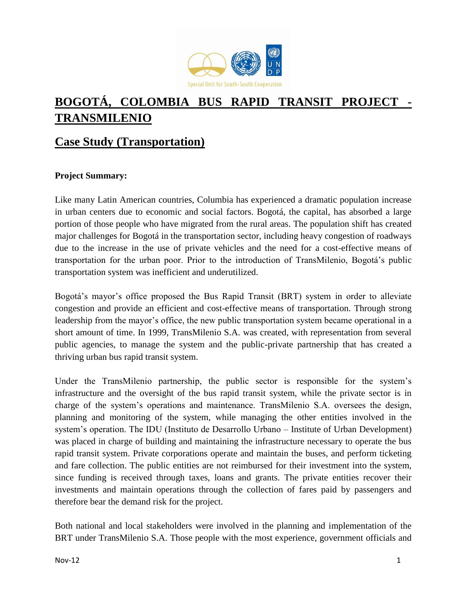

# **BOGOTÁ, COLOMBIA BUS RAPID TRANSIT PROJECT - TRANSMILENIO**

# **Case Study (Transportation)**

# **Project Summary:**

Like many Latin American countries, Columbia has experienced a dramatic population increase in urban centers due to economic and social factors. Bogotá, the capital, has absorbed a large portion of those people who have migrated from the rural areas. The population shift has created major challenges for Bogotá in the transportation sector, including heavy congestion of roadways due to the increase in the use of private vehicles and the need for a cost-effective means of transportation for the urban poor. Prior to the introduction of TransMilenio, Bogotá's public transportation system was inefficient and underutilized.

Bogotá's mayor's office proposed the Bus Rapid Transit (BRT) system in order to alleviate congestion and provide an efficient and cost-effective means of transportation. Through strong leadership from the mayor's office, the new public transportation system became operational in a short amount of time. In 1999, TransMilenio S.A. was created, with representation from several public agencies, to manage the system and the public-private partnership that has created a thriving urban bus rapid transit system.

Under the TransMilenio partnership, the public sector is responsible for the system's infrastructure and the oversight of the bus rapid transit system, while the private sector is in charge of the system's operations and maintenance. TransMilenio S.A. oversees the design, planning and monitoring of the system, while managing the other entities involved in the system's operation. The IDU (Instituto de Desarrollo Urbano – Institute of Urban Development) was placed in charge of building and maintaining the infrastructure necessary to operate the bus rapid transit system. Private corporations operate and maintain the buses, and perform ticketing and fare collection. The public entities are not reimbursed for their investment into the system, since funding is received through taxes, loans and grants. The private entities recover their investments and maintain operations through the collection of fares paid by passengers and therefore bear the demand risk for the project.

Both national and local stakeholders were involved in the planning and implementation of the BRT under TransMilenio S.A. Those people with the most experience, government officials and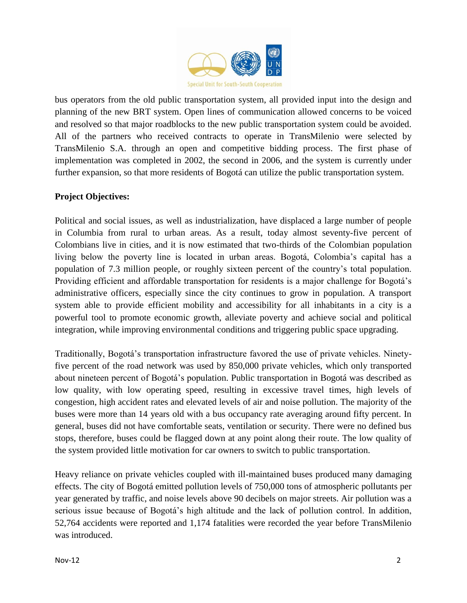

bus operators from the old public transportation system, all provided input into the design and planning of the new BRT system. Open lines of communication allowed concerns to be voiced and resolved so that major roadblocks to the new public transportation system could be avoided. All of the partners who received contracts to operate in TransMilenio were selected by TransMilenio S.A. through an open and competitive bidding process. The first phase of implementation was completed in 2002, the second in 2006, and the system is currently under further expansion, so that more residents of Bogotá can utilize the public transportation system.

# **Project Objectives:**

Political and social issues, as well as industrialization, have displaced a large number of people in Columbia from rural to urban areas. As a result, today almost seventy-five percent of Colombians live in cities, and it is now estimated that two-thirds of the Colombian population living below the poverty line is located in urban areas. Bogotá, Colombia's capital has a population of 7.3 million people, or roughly sixteen percent of the country's total population. Providing efficient and affordable transportation for residents is a major challenge for Bogotá's administrative officers, especially since the city continues to grow in population. A transport system able to provide efficient mobility and accessibility for all inhabitants in a city is a powerful tool to promote economic growth, alleviate poverty and achieve social and political integration, while improving environmental conditions and triggering public space upgrading.

Traditionally, Bogotá's transportation infrastructure favored the use of private vehicles. Ninetyfive percent of the road network was used by 850,000 private vehicles, which only transported about nineteen percent of Bogotá's population. Public transportation in Bogotá was described as low quality, with low operating speed, resulting in excessive travel times, high levels of congestion, high accident rates and elevated levels of air and noise pollution. The majority of the buses were more than 14 years old with a bus occupancy rate averaging around fifty percent. In general, buses did not have comfortable seats, ventilation or security. There were no defined bus stops, therefore, buses could be flagged down at any point along their route. The low quality of the system provided little motivation for car owners to switch to public transportation.

Heavy reliance on private vehicles coupled with ill-maintained buses produced many damaging effects. The city of Bogotá emitted pollution levels of 750,000 tons of atmospheric pollutants per year generated by traffic, and noise levels above 90 decibels on major streets. Air pollution was a serious issue because of Bogotá's high altitude and the lack of pollution control. In addition, 52,764 accidents were reported and 1,174 fatalities were recorded the year before TransMilenio was introduced.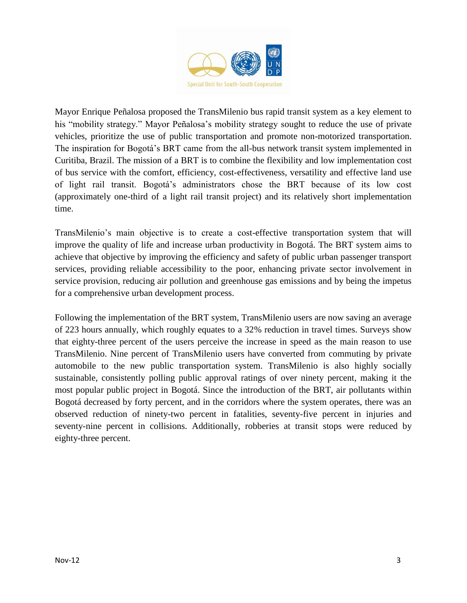

Mayor Enrique Peñalosa proposed the TransMilenio bus rapid transit system as a key element to his "mobility strategy." Mayor Peñalosa's mobility strategy sought to reduce the use of private vehicles, prioritize the use of public transportation and promote non-motorized transportation. The inspiration for Bogotá's BRT came from the all-bus network transit system implemented in Curitiba, Brazil. The mission of a BRT is to combine the flexibility and low implementation cost of bus service with the comfort, efficiency, cost-effectiveness, versatility and effective land use of light rail transit. Bogotá's administrators chose the BRT because of its low cost (approximately one-third of a light rail transit project) and its relatively short implementation time.

TransMilenio's main objective is to create a cost-effective transportation system that will improve the quality of life and increase urban productivity in Bogotá. The BRT system aims to achieve that objective by improving the efficiency and safety of public urban passenger transport services, providing reliable accessibility to the poor, enhancing private sector involvement in service provision, reducing air pollution and greenhouse gas emissions and by being the impetus for a comprehensive urban development process.

Following the implementation of the BRT system, TransMilenio users are now saving an average of 223 hours annually, which roughly equates to a 32% reduction in travel times. Surveys show that eighty-three percent of the users perceive the increase in speed as the main reason to use TransMilenio. Nine percent of TransMilenio users have converted from commuting by private automobile to the new public transportation system. TransMilenio is also highly socially sustainable, consistently polling public approval ratings of over ninety percent, making it the most popular public project in Bogotá. Since the introduction of the BRT, air pollutants within Bogotá decreased by forty percent, and in the corridors where the system operates, there was an observed reduction of ninety-two percent in fatalities, seventy-five percent in injuries and seventy-nine percent in collisions. Additionally, robberies at transit stops were reduced by eighty-three percent.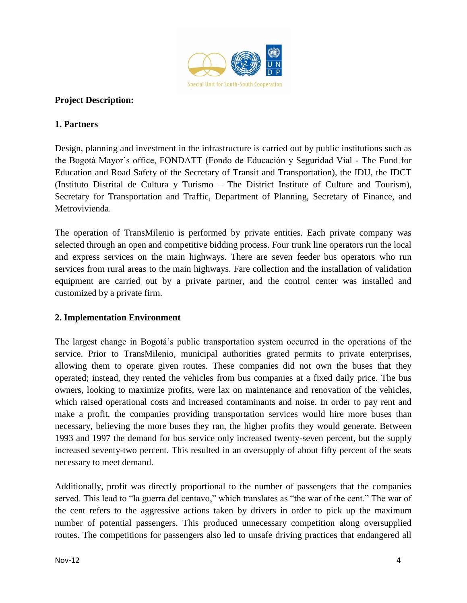

### **Project Description:**

#### **1. Partners**

Design, planning and investment in the infrastructure is carried out by public institutions such as the Bogotá Mayor's office, FONDATT (Fondo de Educación y Seguridad Vial - The Fund for Education and Road Safety of the Secretary of Transit and Transportation), the IDU, the IDCT (Instituto Distrital de Cultura y Turismo – The District Institute of Culture and Tourism), Secretary for Transportation and Traffic, Department of Planning, Secretary of Finance, and Metrovivienda.

The operation of TransMilenio is performed by private entities. Each private company was selected through an open and competitive bidding process. Four trunk line operators run the local and express services on the main highways. There are seven feeder bus operators who run services from rural areas to the main highways. Fare collection and the installation of validation equipment are carried out by a private partner, and the control center was installed and customized by a private firm.

### **2. Implementation Environment**

The largest change in Bogotá's public transportation system occurred in the operations of the service. Prior to TransMilenio, municipal authorities grated permits to private enterprises, allowing them to operate given routes. These companies did not own the buses that they operated; instead, they rented the vehicles from bus companies at a fixed daily price. The bus owners, looking to maximize profits, were lax on maintenance and renovation of the vehicles, which raised operational costs and increased contaminants and noise. In order to pay rent and make a profit, the companies providing transportation services would hire more buses than necessary, believing the more buses they ran, the higher profits they would generate. Between 1993 and 1997 the demand for bus service only increased twenty-seven percent, but the supply increased seventy-two percent. This resulted in an oversupply of about fifty percent of the seats necessary to meet demand.

Additionally, profit was directly proportional to the number of passengers that the companies served. This lead to "la guerra del centavo," which translates as "the war of the cent." The war of the cent refers to the aggressive actions taken by drivers in order to pick up the maximum number of potential passengers. This produced unnecessary competition along oversupplied routes. The competitions for passengers also led to unsafe driving practices that endangered all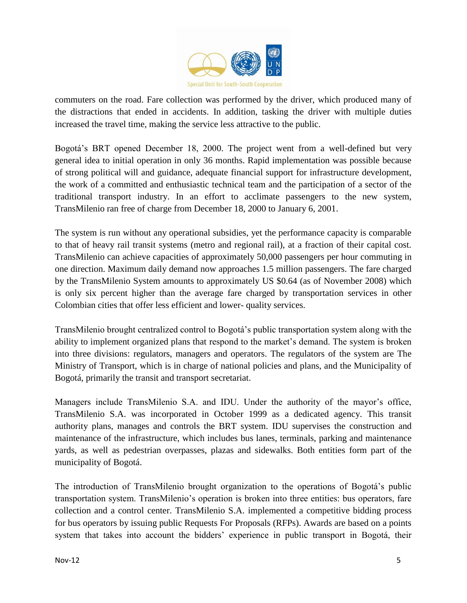

commuters on the road. Fare collection was performed by the driver, which produced many of the distractions that ended in accidents. In addition, tasking the driver with multiple duties increased the travel time, making the service less attractive to the public.

Bogotá's BRT opened December 18, 2000. The project went from a well-defined but very general idea to initial operation in only 36 months. Rapid implementation was possible because of strong political will and guidance, adequate financial support for infrastructure development, the work of a committed and enthusiastic technical team and the participation of a sector of the traditional transport industry. In an effort to acclimate passengers to the new system, TransMilenio ran free of charge from December 18, 2000 to January 6, 2001.

The system is run without any operational subsidies, yet the performance capacity is comparable to that of heavy rail transit systems (metro and regional rail), at a fraction of their capital cost. TransMilenio can achieve capacities of approximately 50,000 passengers per hour commuting in one direction. Maximum daily demand now approaches 1.5 million passengers. The fare charged by the TransMilenio System amounts to approximately US \$0.64 (as of November 2008) which is only six percent higher than the average fare charged by transportation services in other Colombian cities that offer less efficient and lower- quality services.

TransMilenio brought centralized control to Bogotá's public transportation system along with the ability to implement organized plans that respond to the market's demand. The system is broken into three divisions: regulators, managers and operators. The regulators of the system are The Ministry of Transport, which is in charge of national policies and plans, and the Municipality of Bogotá, primarily the transit and transport secretariat.

Managers include TransMilenio S.A. and IDU. Under the authority of the mayor's office, TransMilenio S.A. was incorporated in October 1999 as a dedicated agency. This transit authority plans, manages and controls the BRT system. IDU supervises the construction and maintenance of the infrastructure, which includes bus lanes, terminals, parking and maintenance yards, as well as pedestrian overpasses, plazas and sidewalks. Both entities form part of the municipality of Bogotá.

The introduction of TransMilenio brought organization to the operations of Bogotá's public transportation system. TransMilenio's operation is broken into three entities: bus operators, fare collection and a control center. TransMilenio S.A. implemented a competitive bidding process for bus operators by issuing public Requests For Proposals (RFPs). Awards are based on a points system that takes into account the bidders' experience in public transport in Bogotá, their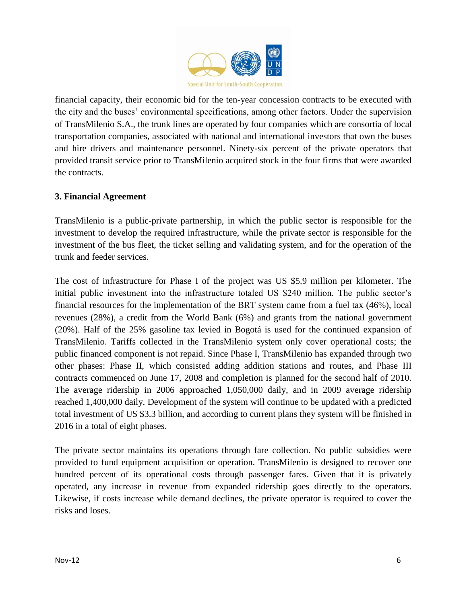

financial capacity, their economic bid for the ten-year concession contracts to be executed with the city and the buses' environmental specifications, among other factors. Under the supervision of TransMilenio S.A., the trunk lines are operated by four companies which are consortia of local transportation companies, associated with national and international investors that own the buses and hire drivers and maintenance personnel. Ninety-six percent of the private operators that provided transit service prior to TransMilenio acquired stock in the four firms that were awarded the contracts.

# **3. Financial Agreement**

TransMilenio is a public-private partnership, in which the public sector is responsible for the investment to develop the required infrastructure, while the private sector is responsible for the investment of the bus fleet, the ticket selling and validating system, and for the operation of the trunk and feeder services.

The cost of infrastructure for Phase I of the project was US \$5.9 million per kilometer. The initial public investment into the infrastructure totaled US \$240 million. The public sector's financial resources for the implementation of the BRT system came from a fuel tax (46%), local revenues (28%), a credit from the World Bank (6%) and grants from the national government (20%). Half of the 25% gasoline tax levied in Bogotá is used for the continued expansion of TransMilenio. Tariffs collected in the TransMilenio system only cover operational costs; the public financed component is not repaid. Since Phase I, TransMilenio has expanded through two other phases: Phase II, which consisted adding addition stations and routes, and Phase III contracts commenced on June 17, 2008 and completion is planned for the second half of 2010. The average ridership in 2006 approached 1,050,000 daily, and in 2009 average ridership reached 1,400,000 daily. Development of the system will continue to be updated with a predicted total investment of US \$3.3 billion, and according to current plans they system will be finished in 2016 in a total of eight phases.

The private sector maintains its operations through fare collection. No public subsidies were provided to fund equipment acquisition or operation. TransMilenio is designed to recover one hundred percent of its operational costs through passenger fares. Given that it is privately operated, any increase in revenue from expanded ridership goes directly to the operators. Likewise, if costs increase while demand declines, the private operator is required to cover the risks and loses.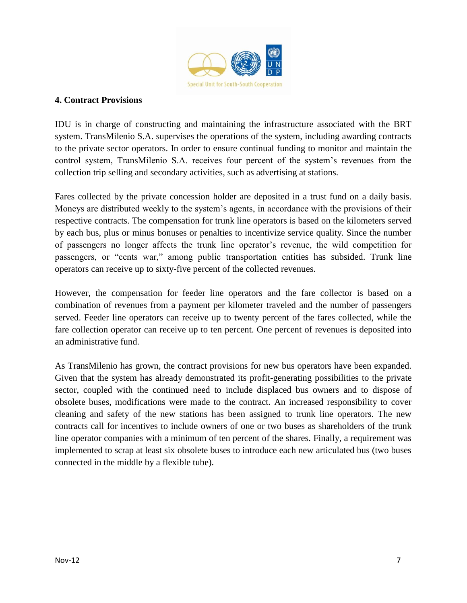

#### **4. Contract Provisions**

IDU is in charge of constructing and maintaining the infrastructure associated with the BRT system. TransMilenio S.A. supervises the operations of the system, including awarding contracts to the private sector operators. In order to ensure continual funding to monitor and maintain the control system, TransMilenio S.A. receives four percent of the system's revenues from the collection trip selling and secondary activities, such as advertising at stations.

Fares collected by the private concession holder are deposited in a trust fund on a daily basis. Moneys are distributed weekly to the system's agents, in accordance with the provisions of their respective contracts. The compensation for trunk line operators is based on the kilometers served by each bus, plus or minus bonuses or penalties to incentivize service quality. Since the number of passengers no longer affects the trunk line operator's revenue, the wild competition for passengers, or "cents war," among public transportation entities has subsided. Trunk line operators can receive up to sixty-five percent of the collected revenues.

However, the compensation for feeder line operators and the fare collector is based on a combination of revenues from a payment per kilometer traveled and the number of passengers served. Feeder line operators can receive up to twenty percent of the fares collected, while the fare collection operator can receive up to ten percent. One percent of revenues is deposited into an administrative fund.

As TransMilenio has grown, the contract provisions for new bus operators have been expanded. Given that the system has already demonstrated its profit-generating possibilities to the private sector, coupled with the continued need to include displaced bus owners and to dispose of obsolete buses, modifications were made to the contract. An increased responsibility to cover cleaning and safety of the new stations has been assigned to trunk line operators. The new contracts call for incentives to include owners of one or two buses as shareholders of the trunk line operator companies with a minimum of ten percent of the shares. Finally, a requirement was implemented to scrap at least six obsolete buses to introduce each new articulated bus (two buses connected in the middle by a flexible tube).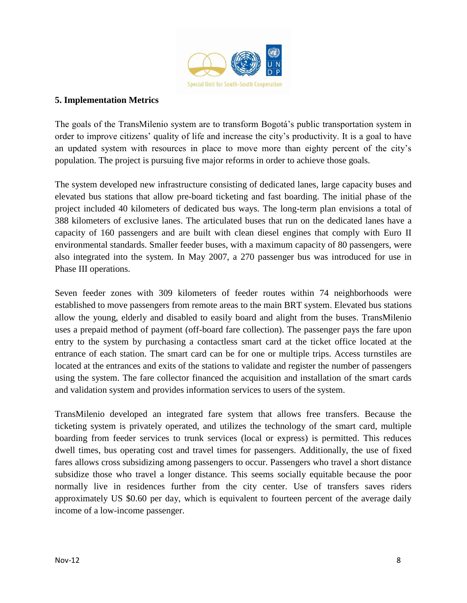

#### **5. Implementation Metrics**

The goals of the TransMilenio system are to transform Bogotá's public transportation system in order to improve citizens' quality of life and increase the city's productivity. It is a goal to have an updated system with resources in place to move more than eighty percent of the city's population. The project is pursuing five major reforms in order to achieve those goals.

The system developed new infrastructure consisting of dedicated lanes, large capacity buses and elevated bus stations that allow pre-board ticketing and fast boarding. The initial phase of the project included 40 kilometers of dedicated bus ways. The long-term plan envisions a total of 388 kilometers of exclusive lanes. The articulated buses that run on the dedicated lanes have a capacity of 160 passengers and are built with clean diesel engines that comply with Euro II environmental standards. Smaller feeder buses, with a maximum capacity of 80 passengers, were also integrated into the system. In May 2007, a 270 passenger bus was introduced for use in Phase III operations.

Seven feeder zones with 309 kilometers of feeder routes within 74 neighborhoods were established to move passengers from remote areas to the main BRT system. Elevated bus stations allow the young, elderly and disabled to easily board and alight from the buses. TransMilenio uses a prepaid method of payment (off-board fare collection). The passenger pays the fare upon entry to the system by purchasing a contactless smart card at the ticket office located at the entrance of each station. The smart card can be for one or multiple trips. Access turnstiles are located at the entrances and exits of the stations to validate and register the number of passengers using the system. The fare collector financed the acquisition and installation of the smart cards and validation system and provides information services to users of the system.

TransMilenio developed an integrated fare system that allows free transfers. Because the ticketing system is privately operated, and utilizes the technology of the smart card, multiple boarding from feeder services to trunk services (local or express) is permitted. This reduces dwell times, bus operating cost and travel times for passengers. Additionally, the use of fixed fares allows cross subsidizing among passengers to occur. Passengers who travel a short distance subsidize those who travel a longer distance. This seems socially equitable because the poor normally live in residences further from the city center. Use of transfers saves riders approximately US \$0.60 per day, which is equivalent to fourteen percent of the average daily income of a low-income passenger.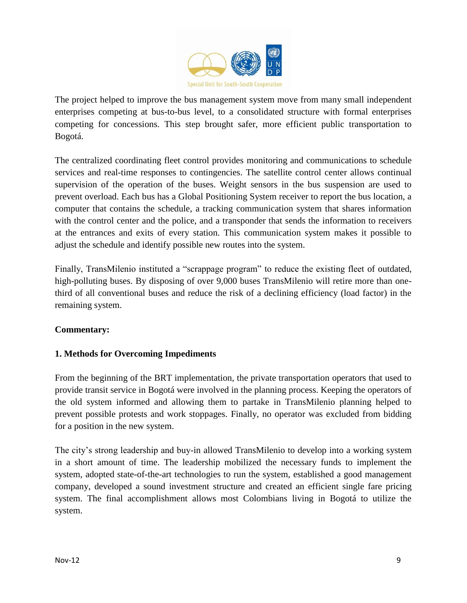

The project helped to improve the bus management system move from many small independent enterprises competing at bus-to-bus level, to a consolidated structure with formal enterprises competing for concessions. This step brought safer, more efficient public transportation to Bogotá.

The centralized coordinating fleet control provides monitoring and communications to schedule services and real-time responses to contingencies. The satellite control center allows continual supervision of the operation of the buses. Weight sensors in the bus suspension are used to prevent overload. Each bus has a Global Positioning System receiver to report the bus location, a computer that contains the schedule, a tracking communication system that shares information with the control center and the police, and a transponder that sends the information to receivers at the entrances and exits of every station. This communication system makes it possible to adjust the schedule and identify possible new routes into the system.

Finally, TransMilenio instituted a "scrappage program" to reduce the existing fleet of outdated, high-polluting buses. By disposing of over 9,000 buses TransMilenio will retire more than onethird of all conventional buses and reduce the risk of a declining efficiency (load factor) in the remaining system.

### **Commentary:**

# **1. Methods for Overcoming Impediments**

From the beginning of the BRT implementation, the private transportation operators that used to provide transit service in Bogotá were involved in the planning process. Keeping the operators of the old system informed and allowing them to partake in TransMilenio planning helped to prevent possible protests and work stoppages. Finally, no operator was excluded from bidding for a position in the new system.

The city's strong leadership and buy-in allowed TransMilenio to develop into a working system in a short amount of time. The leadership mobilized the necessary funds to implement the system, adopted state-of-the-art technologies to run the system, established a good management company, developed a sound investment structure and created an efficient single fare pricing system. The final accomplishment allows most Colombians living in Bogotá to utilize the system.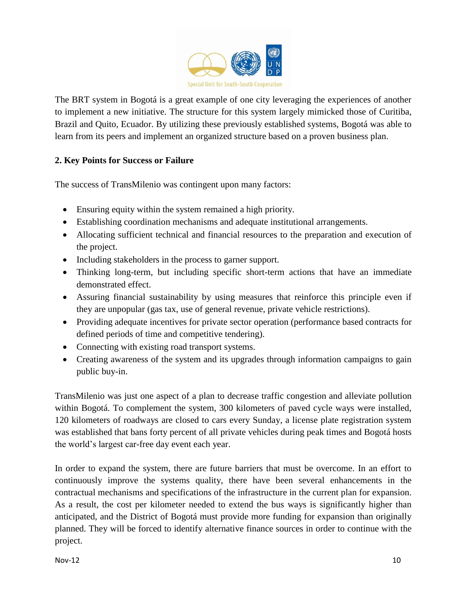

The BRT system in Bogotá is a great example of one city leveraging the experiences of another to implement a new initiative. The structure for this system largely mimicked those of Curitiba, Brazil and Quito, Ecuador. By utilizing these previously established systems, Bogotá was able to learn from its peers and implement an organized structure based on a proven business plan.

# **2. Key Points for Success or Failure**

The success of TransMilenio was contingent upon many factors:

- Ensuring equity within the system remained a high priority.
- Establishing coordination mechanisms and adequate institutional arrangements.
- Allocating sufficient technical and financial resources to the preparation and execution of the project.
- Including stakeholders in the process to garner support.
- Thinking long-term, but including specific short-term actions that have an immediate demonstrated effect.
- Assuring financial sustainability by using measures that reinforce this principle even if they are unpopular (gas tax, use of general revenue, private vehicle restrictions).
- Providing adequate incentives for private sector operation (performance based contracts for defined periods of time and competitive tendering).
- Connecting with existing road transport systems.
- Creating awareness of the system and its upgrades through information campaigns to gain public buy-in.

TransMilenio was just one aspect of a plan to decrease traffic congestion and alleviate pollution within Bogotá. To complement the system, 300 kilometers of paved cycle ways were installed, 120 kilometers of roadways are closed to cars every Sunday, a license plate registration system was established that bans forty percent of all private vehicles during peak times and Bogotá hosts the world's largest car-free day event each year.

In order to expand the system, there are future barriers that must be overcome. In an effort to continuously improve the systems quality, there have been several enhancements in the contractual mechanisms and specifications of the infrastructure in the current plan for expansion. As a result, the cost per kilometer needed to extend the bus ways is significantly higher than anticipated, and the District of Bogotá must provide more funding for expansion than originally planned. They will be forced to identify alternative finance sources in order to continue with the project.